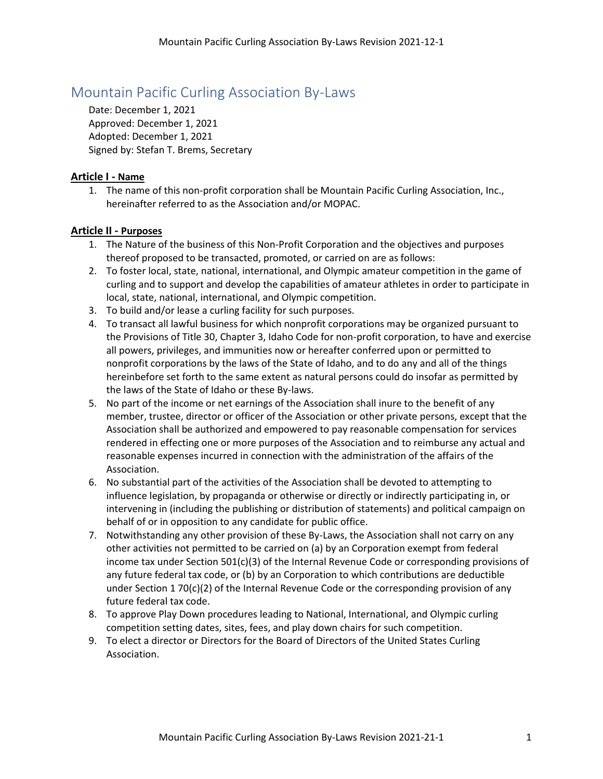### Mountain Pacific Curling Association By-Laws

Date: December 1, 2021 Approved: December 1, 2021 Adopted: December 1, 2021 Signed by: Stefan T. Brems, Secretary

#### **Article I - Name**

1. The name of this non-profit corporation shall be Mountain Pacific Curling Association, Inc., hereinafter referred to as the Association and/or MOPAC.

#### **Article II - Purposes**

- 1. The Nature of the business of this Non-Profit Corporation and the objectives and purposes thereof proposed to be transacted, promoted, or carried on are as follows:
- 2. To foster local, state, national, international, and Olympic amateur competition in the game of curling and to support and develop the capabilities of amateur athletes in order to participate in local, state, national, international, and Olympic competition.
- 3. To build and/or lease a curling facility for such purposes.
- 4. To transact all lawful business for which nonprofit corporations may be organized pursuant to the Provisions of Title 30, Chapter 3, Idaho Code for non-profit corporation, to have and exercise all powers, privileges, and immunities now or hereafter conferred upon or permitted to nonprofit corporations by the laws of the State of Idaho, and to do any and all of the things hereinbefore set forth to the same extent as natural persons could do insofar as permitted by the laws of the State of Idaho or these By-laws.
- 5. No part of the income or net earnings of the Association shall inure to the benefit of any member, trustee, director or officer of the Association or other private persons, except that the Association shall be authorized and empowered to pay reasonable compensation for services rendered in effecting one or more purposes of the Association and to reimburse any actual and reasonable expenses incurred in connection with the administration of the affairs of the Association.
- 6. No substantial part of the activities of the Association shall be devoted to attempting to influence legislation, by propaganda or otherwise or directly or indirectly participating in, or intervening in (including the publishing or distribution of statements) and political campaign on behalf of or in opposition to any candidate for public office.
- 7. Notwithstanding any other provision of these By-Laws, the Association shall not carry on any other activities not permitted to be carried on (a) by an Corporation exempt from federal income tax under Section 501(c)(3) of the Internal Revenue Code or corresponding provisions of any future federal tax code, or (b) by an Corporation to which contributions are deductible under Section 1 70(c)(2) of the Internal Revenue Code or the corresponding provision of any future federal tax code.
- 8. To approve Play Down procedures leading to National, International, and Olympic curling competition setting dates, sites, fees, and play down chairs for such competition.
- 9. To elect a director or Directors for the Board of Directors of the United States Curling Association.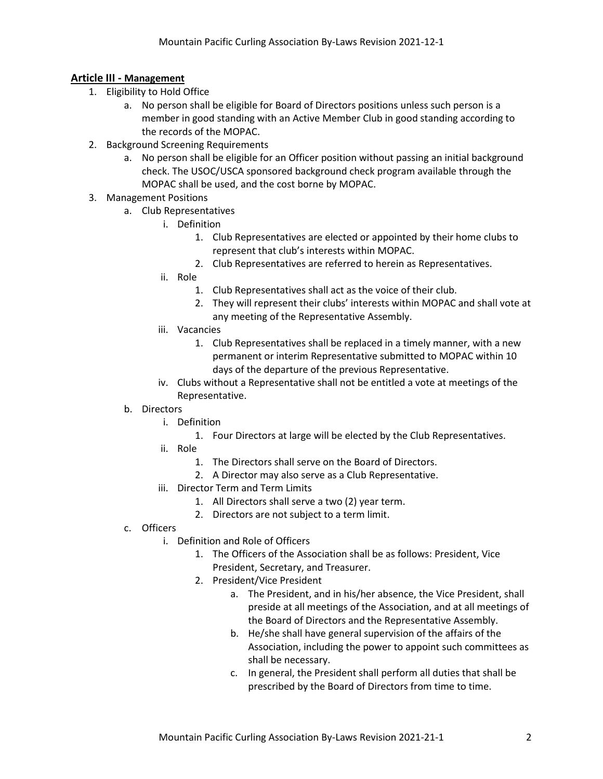#### **Article III - Management**

- 1. Eligibility to Hold Office
	- a. No person shall be eligible for Board of Directors positions unless such person is a member in good standing with an Active Member Club in good standing according to the records of the MOPAC.
- 2. Background Screening Requirements
	- a. No person shall be eligible for an Officer position without passing an initial background check. The USOC/USCA sponsored background check program available through the MOPAC shall be used, and the cost borne by MOPAC.
- 3. Management Positions
	- a. Club Representatives
		- i. Definition
			- 1. Club Representatives are elected or appointed by their home clubs to represent that club's interests within MOPAC.
			- 2. Club Representatives are referred to herein as Representatives.
		- ii. Role
			- 1. Club Representatives shall act as the voice of their club.
			- 2. They will represent their clubs' interests within MOPAC and shall vote at any meeting of the Representative Assembly.
		- iii. Vacancies
			- 1. Club Representatives shall be replaced in a timely manner, with a new permanent or interim Representative submitted to MOPAC within 10 days of the departure of the previous Representative.
		- iv. Clubs without a Representative shall not be entitled a vote at meetings of the Representative.

#### b. Directors

- i. Definition
	- 1. Four Directors at large will be elected by the Club Representatives.
- ii. Role
	- 1. The Directors shall serve on the Board of Directors.
	- 2. A Director may also serve as a Club Representative.
- iii. Director Term and Term Limits
	- 1. All Directors shall serve a two (2) year term.
	- 2. Directors are not subject to a term limit.
- c. Officers
	- i. Definition and Role of Officers
		- 1. The Officers of the Association shall be as follows: President, Vice President, Secretary, and Treasurer.
		- 2. President/Vice President
			- a. The President, and in his/her absence, the Vice President, shall preside at all meetings of the Association, and at all meetings of the Board of Directors and the Representative Assembly.
			- b. He/she shall have general supervision of the affairs of the Association, including the power to appoint such committees as shall be necessary.
			- c. In general, the President shall perform all duties that shall be prescribed by the Board of Directors from time to time.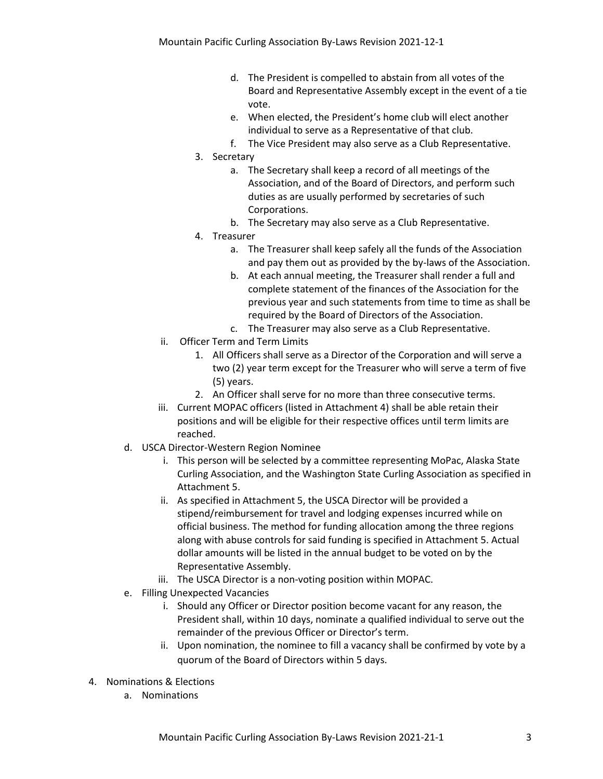- d. The President is compelled to abstain from all votes of the Board and Representative Assembly except in the event of a tie vote.
- e. When elected, the President's home club will elect another individual to serve as a Representative of that club.
- f. The Vice President may also serve as a Club Representative.
- 3. Secretary
	- a. The Secretary shall keep a record of all meetings of the Association, and of the Board of Directors, and perform such duties as are usually performed by secretaries of such Corporations.
	- b. The Secretary may also serve as a Club Representative.
- 4. Treasurer
	- a. The Treasurer shall keep safely all the funds of the Association and pay them out as provided by the by-laws of the Association.
	- b. At each annual meeting, the Treasurer shall render a full and complete statement of the finances of the Association for the previous year and such statements from time to time as shall be required by the Board of Directors of the Association.
	- c. The Treasurer may also serve as a Club Representative.
- ii. Officer Term and Term Limits
	- 1. All Officers shall serve as a Director of the Corporation and will serve a two (2) year term except for the Treasurer who will serve a term of five (5) years.
	- 2. An Officer shall serve for no more than three consecutive terms.
- iii. Current MOPAC officers (listed in Attachment 4) shall be able retain their positions and will be eligible for their respective offices until term limits are reached.
- d. USCA Director-Western Region Nominee
	- i. This person will be selected by a committee representing MoPac, Alaska State Curling Association, and the Washington State Curling Association as specified in Attachment 5.
	- ii. As specified in Attachment 5, the USCA Director will be provided a stipend/reimbursement for travel and lodging expenses incurred while on official business. The method for funding allocation among the three regions along with abuse controls for said funding is specified in Attachment 5. Actual dollar amounts will be listed in the annual budget to be voted on by the Representative Assembly.
	- iii. The USCA Director is a non-voting position within MOPAC.
- e. Filling Unexpected Vacancies
	- i. Should any Officer or Director position become vacant for any reason, the President shall, within 10 days, nominate a qualified individual to serve out the remainder of the previous Officer or Director's term.
	- ii. Upon nomination, the nominee to fill a vacancy shall be confirmed by vote by a quorum of the Board of Directors within 5 days.
- 4. Nominations & Elections
	- a. Nominations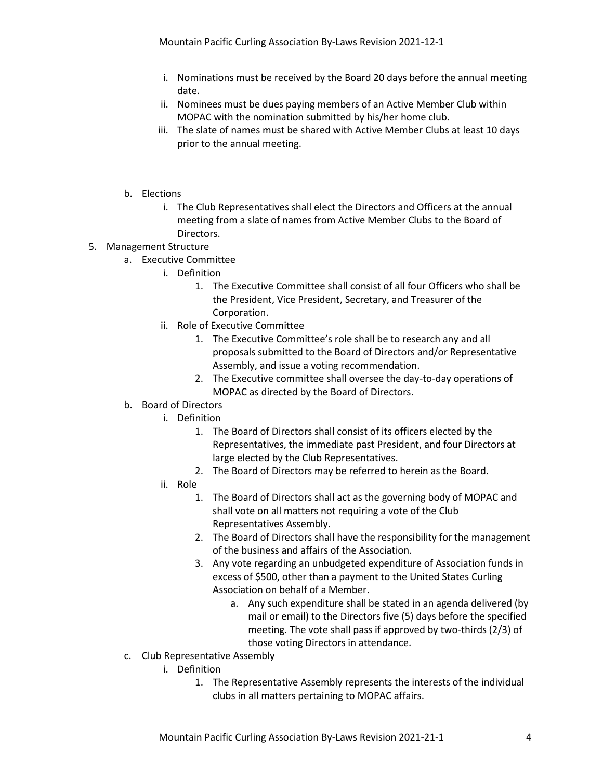- i. Nominations must be received by the Board 20 days before the annual meeting date.
- ii. Nominees must be dues paying members of an Active Member Club within MOPAC with the nomination submitted by his/her home club.
- iii. The slate of names must be shared with Active Member Clubs at least 10 days prior to the annual meeting.
- b. Elections
	- i. The Club Representatives shall elect the Directors and Officers at the annual meeting from a slate of names from Active Member Clubs to the Board of Directors.

#### 5. Management Structure

- a. Executive Committee
	- i. Definition
		- 1. The Executive Committee shall consist of all four Officers who shall be the President, Vice President, Secretary, and Treasurer of the Corporation.
	- ii. Role of Executive Committee
		- 1. The Executive Committee's role shall be to research any and all proposals submitted to the Board of Directors and/or Representative Assembly, and issue a voting recommendation.
		- 2. The Executive committee shall oversee the day-to-day operations of MOPAC as directed by the Board of Directors.
- b. Board of Directors
	- i. Definition
		- 1. The Board of Directors shall consist of its officers elected by the Representatives, the immediate past President, and four Directors at large elected by the Club Representatives.
		- 2. The Board of Directors may be referred to herein as the Board.
	- ii. Role
		- 1. The Board of Directors shall act as the governing body of MOPAC and shall vote on all matters not requiring a vote of the Club Representatives Assembly.
		- 2. The Board of Directors shall have the responsibility for the management of the business and affairs of the Association.
		- 3. Any vote regarding an unbudgeted expenditure of Association funds in excess of \$500, other than a payment to the United States Curling Association on behalf of a Member.
			- a. Any such expenditure shall be stated in an agenda delivered (by mail or email) to the Directors five (5) days before the specified meeting. The vote shall pass if approved by two-thirds (2/3) of those voting Directors in attendance.
- c. Club Representative Assembly
	- i. Definition
		- 1. The Representative Assembly represents the interests of the individual clubs in all matters pertaining to MOPAC affairs.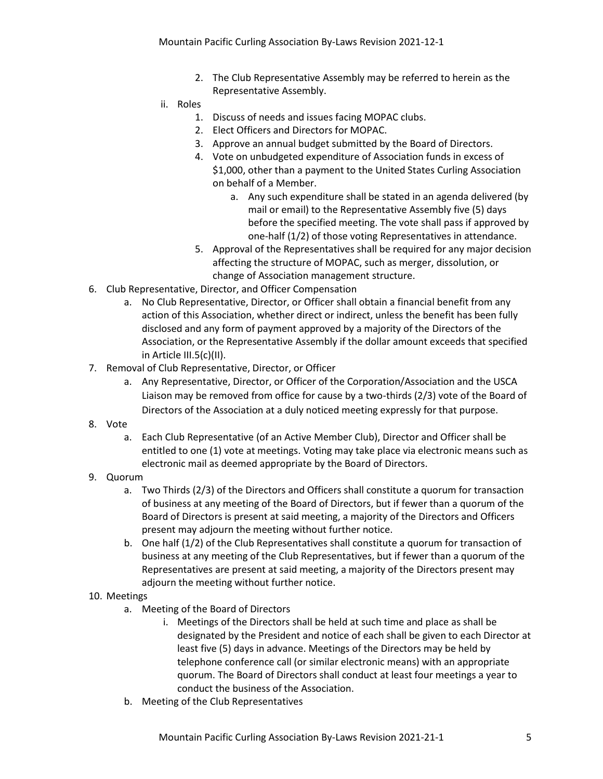- 2. The Club Representative Assembly may be referred to herein as the Representative Assembly.
- ii. Roles
	- 1. Discuss of needs and issues facing MOPAC clubs.
	- 2. Elect Officers and Directors for MOPAC.
	- 3. Approve an annual budget submitted by the Board of Directors.
	- 4. Vote on unbudgeted expenditure of Association funds in excess of \$1,000, other than a payment to the United States Curling Association on behalf of a Member.
		- a. Any such expenditure shall be stated in an agenda delivered (by mail or email) to the Representative Assembly five (5) days before the specified meeting. The vote shall pass if approved by one-half (1/2) of those voting Representatives in attendance.
	- 5. Approval of the Representatives shall be required for any major decision affecting the structure of MOPAC, such as merger, dissolution, or change of Association management structure.
- 6. Club Representative, Director, and Officer Compensation
	- a. No Club Representative, Director, or Officer shall obtain a financial benefit from any action of this Association, whether direct or indirect, unless the benefit has been fully disclosed and any form of payment approved by a majority of the Directors of the Association, or the Representative Assembly if the dollar amount exceeds that specified in Article III.5(c)(II).
- 7. Removal of Club Representative, Director, or Officer
	- a. Any Representative, Director, or Officer of the Corporation/Association and the USCA Liaison may be removed from office for cause by a two-thirds (2/3) vote of the Board of Directors of the Association at a duly noticed meeting expressly for that purpose.
- 8. Vote
	- a. Each Club Representative (of an Active Member Club), Director and Officer shall be entitled to one (1) vote at meetings. Voting may take place via electronic means such as electronic mail as deemed appropriate by the Board of Directors.
- 9. Quorum
	- a. Two Thirds (2/3) of the Directors and Officers shall constitute a quorum for transaction of business at any meeting of the Board of Directors, but if fewer than a quorum of the Board of Directors is present at said meeting, a majority of the Directors and Officers present may adjourn the meeting without further notice.
	- b. One half (1/2) of the Club Representatives shall constitute a quorum for transaction of business at any meeting of the Club Representatives, but if fewer than a quorum of the Representatives are present at said meeting, a majority of the Directors present may adjourn the meeting without further notice.
- 10. Meetings
	- a. Meeting of the Board of Directors
		- i. Meetings of the Directors shall be held at such time and place as shall be designated by the President and notice of each shall be given to each Director at least five (5) days in advance. Meetings of the Directors may be held by telephone conference call (or similar electronic means) with an appropriate quorum. The Board of Directors shall conduct at least four meetings a year to conduct the business of the Association.
	- b. Meeting of the Club Representatives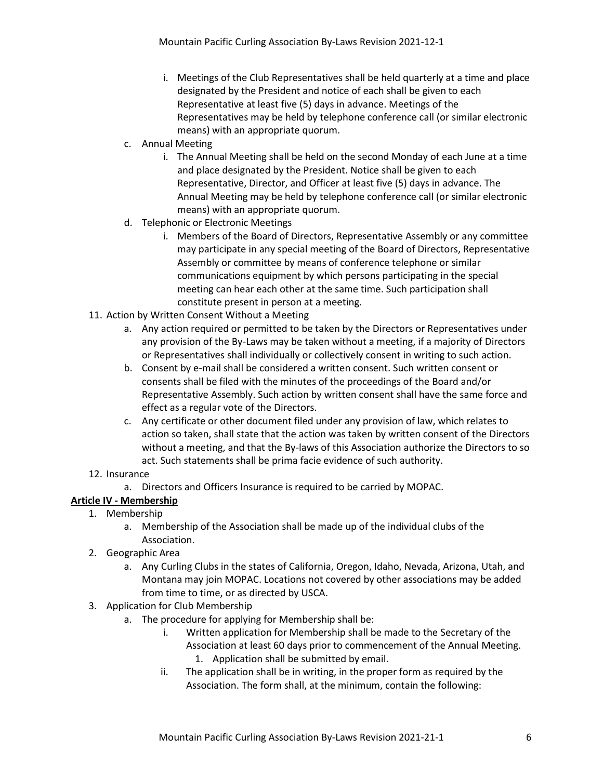- i. Meetings of the Club Representatives shall be held quarterly at a time and place designated by the President and notice of each shall be given to each Representative at least five (5) days in advance. Meetings of the Representatives may be held by telephone conference call (or similar electronic means) with an appropriate quorum.
- c. Annual Meeting
	- i. The Annual Meeting shall be held on the second Monday of each June at a time and place designated by the President. Notice shall be given to each Representative, Director, and Officer at least five (5) days in advance. The Annual Meeting may be held by telephone conference call (or similar electronic means) with an appropriate quorum.
- d. Telephonic or Electronic Meetings
	- i. Members of the Board of Directors, Representative Assembly or any committee may participate in any special meeting of the Board of Directors, Representative Assembly or committee by means of conference telephone or similar communications equipment by which persons participating in the special meeting can hear each other at the same time. Such participation shall constitute present in person at a meeting.
- 11. Action by Written Consent Without a Meeting
	- a. Any action required or permitted to be taken by the Directors or Representatives under any provision of the By-Laws may be taken without a meeting, if a majority of Directors or Representatives shall individually or collectively consent in writing to such action.
	- b. Consent by e-mail shall be considered a written consent. Such written consent or consents shall be filed with the minutes of the proceedings of the Board and/or Representative Assembly. Such action by written consent shall have the same force and effect as a regular vote of the Directors.
	- c. Any certificate or other document filed under any provision of law, which relates to action so taken, shall state that the action was taken by written consent of the Directors without a meeting, and that the By-laws of this Association authorize the Directors to so act. Such statements shall be prima facie evidence of such authority.
- 12. Insurance
	- a. Directors and Officers Insurance is required to be carried by MOPAC.
- **Article IV - Membership**
	- 1. Membership
		- a. Membership of the Association shall be made up of the individual clubs of the Association.
	- 2. Geographic Area
		- a. Any Curling Clubs in the states of California, Oregon, Idaho, Nevada, Arizona, Utah, and Montana may join MOPAC. Locations not covered by other associations may be added from time to time, or as directed by USCA.
	- 3. Application for Club Membership
		- a. The procedure for applying for Membership shall be:
			- i. Written application for Membership shall be made to the Secretary of the Association at least 60 days prior to commencement of the Annual Meeting.
				- 1. Application shall be submitted by email.
			- ii. The application shall be in writing, in the proper form as required by the Association. The form shall, at the minimum, contain the following: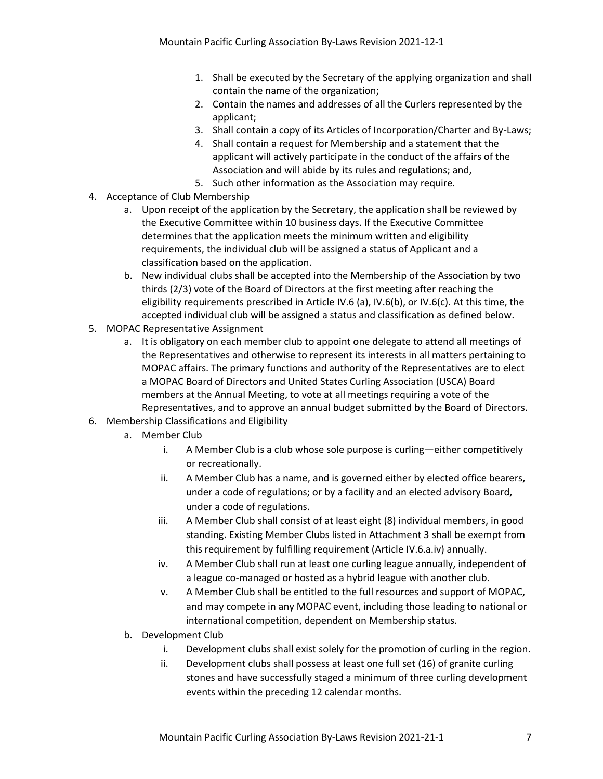- 1. Shall be executed by the Secretary of the applying organization and shall contain the name of the organization;
- 2. Contain the names and addresses of all the Curlers represented by the applicant;
- 3. Shall contain a copy of its Articles of Incorporation/Charter and By-Laws;
- 4. Shall contain a request for Membership and a statement that the applicant will actively participate in the conduct of the affairs of the Association and will abide by its rules and regulations; and,
- 5. Such other information as the Association may require.
- 4. Acceptance of Club Membership
	- a. Upon receipt of the application by the Secretary, the application shall be reviewed by the Executive Committee within 10 business days. If the Executive Committee determines that the application meets the minimum written and eligibility requirements, the individual club will be assigned a status of Applicant and a classification based on the application.
	- b. New individual clubs shall be accepted into the Membership of the Association by two thirds (2/3) vote of the Board of Directors at the first meeting after reaching the eligibility requirements prescribed in Article IV.6 (a), IV.6(b), or IV.6(c). At this time, the accepted individual club will be assigned a status and classification as defined below.
- 5. MOPAC Representative Assignment
	- a. It is obligatory on each member club to appoint one delegate to attend all meetings of the Representatives and otherwise to represent its interests in all matters pertaining to MOPAC affairs. The primary functions and authority of the Representatives are to elect a MOPAC Board of Directors and United States Curling Association (USCA) Board members at the Annual Meeting, to vote at all meetings requiring a vote of the Representatives, and to approve an annual budget submitted by the Board of Directors.
- 6. Membership Classifications and Eligibility
	- a. Member Club
		- i. A Member Club is a club whose sole purpose is curling—either competitively or recreationally.
		- ii. A Member Club has a name, and is governed either by elected office bearers, under a code of regulations; or by a facility and an elected advisory Board, under a code of regulations.
		- iii. A Member Club shall consist of at least eight (8) individual members, in good standing. Existing Member Clubs listed in Attachment 3 shall be exempt from this requirement by fulfilling requirement (Article IV.6.a.iv) annually.
		- iv. A Member Club shall run at least one curling league annually, independent of a league co-managed or hosted as a hybrid league with another club.
		- v. A Member Club shall be entitled to the full resources and support of MOPAC, and may compete in any MOPAC event, including those leading to national or international competition, dependent on Membership status.
	- b. Development Club
		- i. Development clubs shall exist solely for the promotion of curling in the region.
		- ii. Development clubs shall possess at least one full set (16) of granite curling stones and have successfully staged a minimum of three curling development events within the preceding 12 calendar months.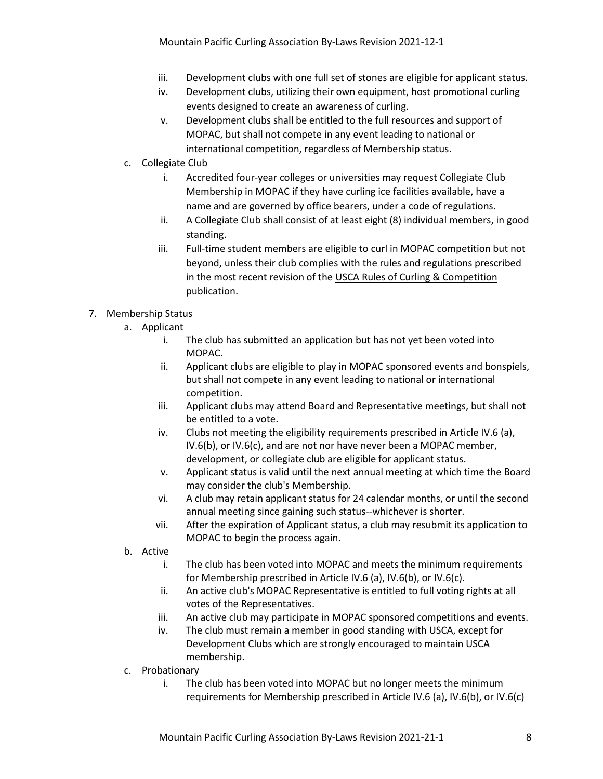- iii. Development clubs with one full set of stones are eligible for applicant status.
- iv. Development clubs, utilizing their own equipment, host promotional curling events designed to create an awareness of curling.
- v. Development clubs shall be entitled to the full resources and support of MOPAC, but shall not compete in any event leading to national or international competition, regardless of Membership status.
- c. Collegiate Club
	- i. Accredited four-year colleges or universities may request Collegiate Club Membership in MOPAC if they have curling ice facilities available, have a name and are governed by office bearers, under a code of regulations.
	- ii. A Collegiate Club shall consist of at least eight (8) individual members, in good standing.
	- iii. Full-time student members are eligible to curl in MOPAC competition but not beyond, unless their club complies with the rules and regulations prescribed in the most recent revision of the USCA Rules of Curling & Competition publication.

#### 7. Membership Status

- a. Applicant
	- i. The club has submitted an application but has not yet been voted into MOPAC.
	- ii. Applicant clubs are eligible to play in MOPAC sponsored events and bonspiels, but shall not compete in any event leading to national or international competition.
	- iii. Applicant clubs may attend Board and Representative meetings, but shall not be entitled to a vote.
	- iv. Clubs not meeting the eligibility requirements prescribed in Article IV.6 (a), IV.6(b), or IV.6(c), and are not nor have never been a MOPAC member, development, or collegiate club are eligible for applicant status.
	- v. Applicant status is valid until the next annual meeting at which time the Board may consider the club's Membership.
	- vi. A club may retain applicant status for 24 calendar months, or until the second annual meeting since gaining such status--whichever is shorter.
	- vii. After the expiration of Applicant status, a club may resubmit its application to MOPAC to begin the process again.
- b. Active
	- i. The club has been voted into MOPAC and meets the minimum requirements for Membership prescribed in Article IV.6 (a), IV.6(b), or IV.6(c).
	- ii. An active club's MOPAC Representative is entitled to full voting rights at all votes of the Representatives.
	- iii. An active club may participate in MOPAC sponsored competitions and events.
	- iv. The club must remain a member in good standing with USCA, except for Development Clubs which are strongly encouraged to maintain USCA membership.
- c. Probationary
	- i. The club has been voted into MOPAC but no longer meets the minimum requirements for Membership prescribed in Article IV.6 (a), IV.6(b), or IV.6(c)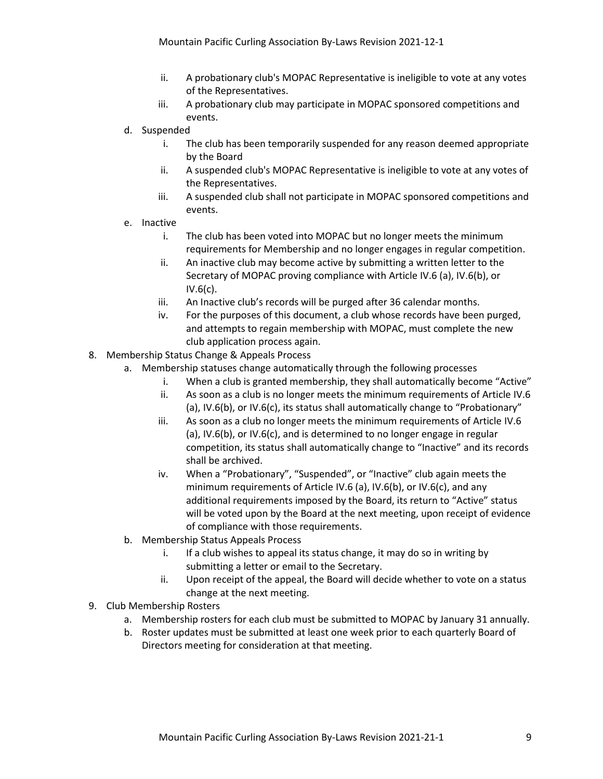- ii. A probationary club's MOPAC Representative is ineligible to vote at any votes of the Representatives.
- iii. A probationary club may participate in MOPAC sponsored competitions and events.
- d. Suspended
	- i. The club has been temporarily suspended for any reason deemed appropriate by the Board
	- ii. A suspended club's MOPAC Representative is ineligible to vote at any votes of the Representatives.
	- iii. A suspended club shall not participate in MOPAC sponsored competitions and events.
- e. Inactive
	- i. The club has been voted into MOPAC but no longer meets the minimum requirements for Membership and no longer engages in regular competition.
	- ii. An inactive club may become active by submitting a written letter to the Secretary of MOPAC proving compliance with Article IV.6 (a), IV.6(b), or IV.6(c).
	- iii. An Inactive club's records will be purged after 36 calendar months.
	- iv. For the purposes of this document, a club whose records have been purged, and attempts to regain membership with MOPAC, must complete the new club application process again.
- 8. Membership Status Change & Appeals Process
	- a. Membership statuses change automatically through the following processes
		- i. When a club is granted membership, they shall automatically become "Active"
		- ii. As soon as a club is no longer meets the minimum requirements of Article IV.6 (a), IV.6(b), or IV.6(c), its status shall automatically change to "Probationary"
		- iii. As soon as a club no longer meets the minimum requirements of Article IV.6 (a), IV.6(b), or IV.6(c), and is determined to no longer engage in regular competition, its status shall automatically change to "Inactive" and its records shall be archived.
		- iv. When a "Probationary", "Suspended", or "Inactive" club again meets the minimum requirements of Article IV.6 (a), IV.6(b), or IV.6(c), and any additional requirements imposed by the Board, its return to "Active" status will be voted upon by the Board at the next meeting, upon receipt of evidence of compliance with those requirements.
	- b. Membership Status Appeals Process
		- i. If a club wishes to appeal its status change, it may do so in writing by submitting a letter or email to the Secretary.
		- ii. Upon receipt of the appeal, the Board will decide whether to vote on a status change at the next meeting.
- 9. Club Membership Rosters
	- a. Membership rosters for each club must be submitted to MOPAC by January 31 annually.
	- b. Roster updates must be submitted at least one week prior to each quarterly Board of Directors meeting for consideration at that meeting.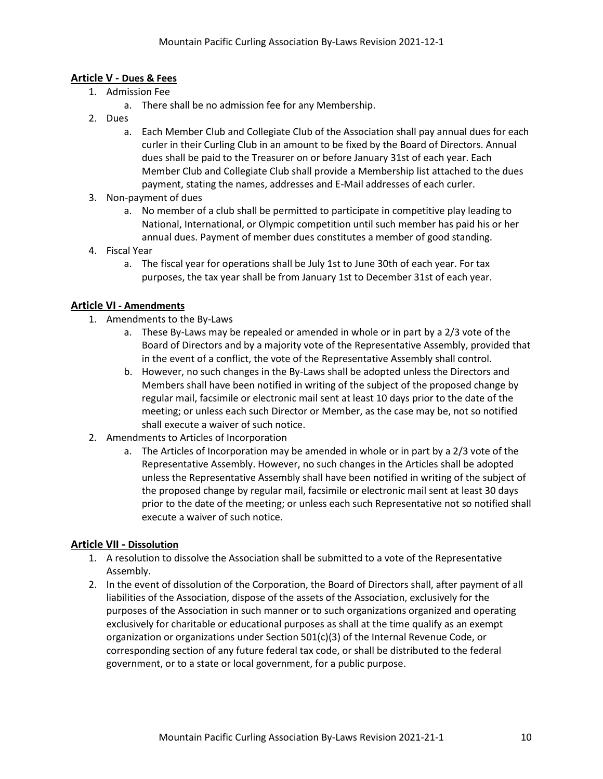#### **Article V - Dues & Fees**

- 1. Admission Fee
	- a. There shall be no admission fee for any Membership.
- 2. Dues
	- a. Each Member Club and Collegiate Club of the Association shall pay annual dues for each curler in their Curling Club in an amount to be fixed by the Board of Directors. Annual dues shall be paid to the Treasurer on or before January 31st of each year. Each Member Club and Collegiate Club shall provide a Membership list attached to the dues payment, stating the names, addresses and E-Mail addresses of each curler.
- 3. Non-payment of dues
	- a. No member of a club shall be permitted to participate in competitive play leading to National, International, or Olympic competition until such member has paid his or her annual dues. Payment of member dues constitutes a member of good standing.
- 4. Fiscal Year
	- a. The fiscal year for operations shall be July 1st to June 30th of each year. For tax purposes, the tax year shall be from January 1st to December 31st of each year.

#### **Article VI - Amendments**

- 1. Amendments to the By-Laws
	- a. These By-Laws may be repealed or amended in whole or in part by a 2/3 vote of the Board of Directors and by a majority vote of the Representative Assembly, provided that in the event of a conflict, the vote of the Representative Assembly shall control.
	- b. However, no such changes in the By-Laws shall be adopted unless the Directors and Members shall have been notified in writing of the subject of the proposed change by regular mail, facsimile or electronic mail sent at least 10 days prior to the date of the meeting; or unless each such Director or Member, as the case may be, not so notified shall execute a waiver of such notice.
- 2. Amendments to Articles of Incorporation
	- a. The Articles of Incorporation may be amended in whole or in part by a 2/3 vote of the Representative Assembly. However, no such changes in the Articles shall be adopted unless the Representative Assembly shall have been notified in writing of the subject of the proposed change by regular mail, facsimile or electronic mail sent at least 30 days prior to the date of the meeting; or unless each such Representative not so notified shall execute a waiver of such notice.

#### **Article VII - Dissolution**

- 1. A resolution to dissolve the Association shall be submitted to a vote of the Representative Assembly.
- 2. In the event of dissolution of the Corporation, the Board of Directors shall, after payment of all liabilities of the Association, dispose of the assets of the Association, exclusively for the purposes of the Association in such manner or to such organizations organized and operating exclusively for charitable or educational purposes as shall at the time qualify as an exempt organization or organizations under Section 501(c)(3) of the Internal Revenue Code, or corresponding section of any future federal tax code, or shall be distributed to the federal government, or to a state or local government, for a public purpose.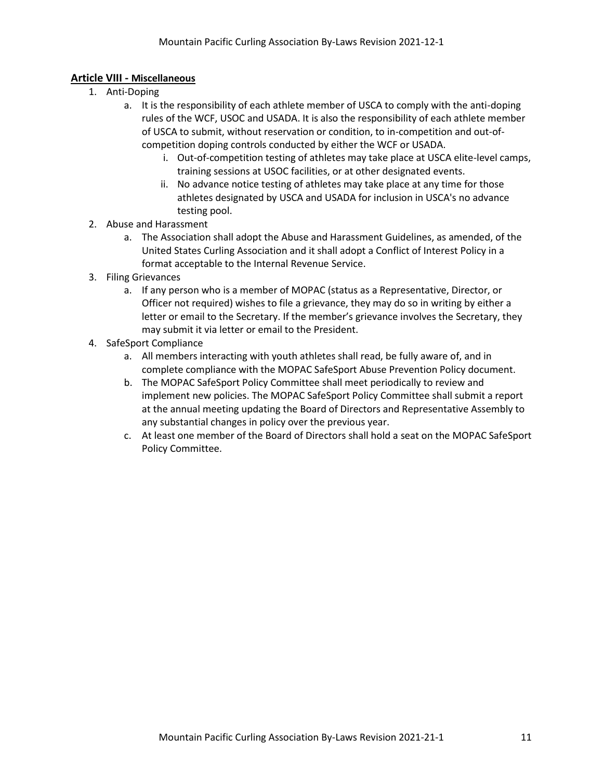#### **Article VIII - Miscellaneous**

- 1. Anti-Doping
	- a. It is the responsibility of each athlete member of USCA to comply with the anti-doping rules of the WCF, USOC and USADA. It is also the responsibility of each athlete member of USCA to submit, without reservation or condition, to in-competition and out-ofcompetition doping controls conducted by either the WCF or USADA.
		- i. Out-of-competition testing of athletes may take place at USCA elite-level camps, training sessions at USOC facilities, or at other designated events.
		- ii. No advance notice testing of athletes may take place at any time for those athletes designated by USCA and USADA for inclusion in USCA's no advance testing pool.
- 2. Abuse and Harassment
	- a. The Association shall adopt the Abuse and Harassment Guidelines, as amended, of the United States Curling Association and it shall adopt a Conflict of Interest Policy in a format acceptable to the Internal Revenue Service.
- 3. Filing Grievances
	- a. If any person who is a member of MOPAC (status as a Representative, Director, or Officer not required) wishes to file a grievance, they may do so in writing by either a letter or email to the Secretary. If the member's grievance involves the Secretary, they may submit it via letter or email to the President.
- 4. SafeSport Compliance
	- a. All members interacting with youth athletes shall read, be fully aware of, and in complete compliance with the MOPAC SafeSport Abuse Prevention Policy document.
	- b. The MOPAC SafeSport Policy Committee shall meet periodically to review and implement new policies. The MOPAC SafeSport Policy Committee shall submit a report at the annual meeting updating the Board of Directors and Representative Assembly to any substantial changes in policy over the previous year.
	- c. At least one member of the Board of Directors shall hold a seat on the MOPAC SafeSport Policy Committee.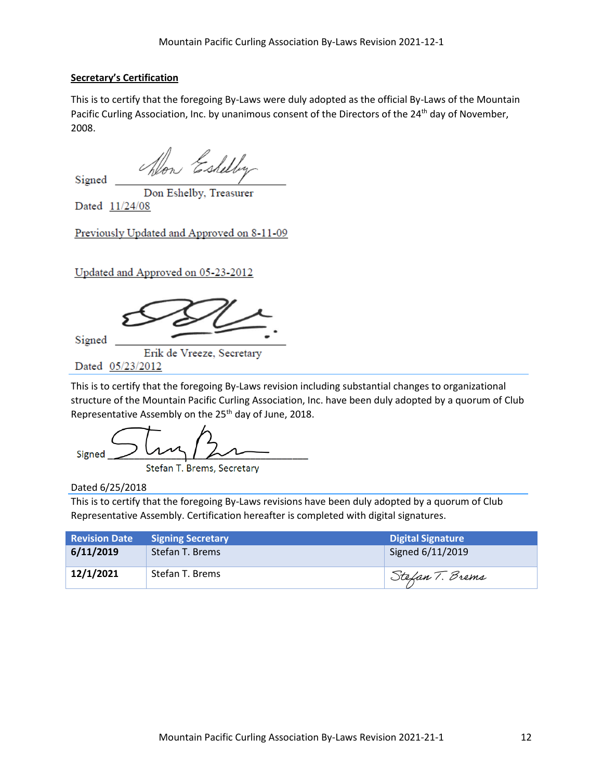#### **Secretary's Certification**

This is to certify that the foregoing By-Laws were duly adopted as the official By-Laws of the Mountain Pacific Curling Association, Inc. by unanimous consent of the Directors of the 24<sup>th</sup> day of November, 2008.

Alon Eshelby

Signed

Don Eshelby, Treasurer

Dated 11/24/08

Previously Updated and Approved on 8-11-09

Updated and Approved on 05-23-2012

Signed

Erik de Vreeze, Secretary

Dated 05/23/2012

This is to certify that the foregoing By-Laws revision including substantial changes to organizational structure of the Mountain Pacific Curling Association, Inc. have been duly adopted by a quorum of Club Representative Assembly on the 25<sup>th</sup> day of June, 2018.

 $S_1$ gried  $\overbrace{\phantom{a}}$ Stefan T. Brems, Secretary

Dated 6/25/2018

This is to certify that the foregoing By-Laws revisions have been duly adopted by a quorum of Club Representative Assembly. Certification hereafter is completed with digital signatures.

| <b>Revision Date</b> | <b>Signing Secretary</b> | <b>Digital Signature</b> |
|----------------------|--------------------------|--------------------------|
| 6/11/2019            | Stefan T. Brems          | Signed 6/11/2019         |
| 12/1/2021            | Stefan T. Brems          | Stefan T. Brems          |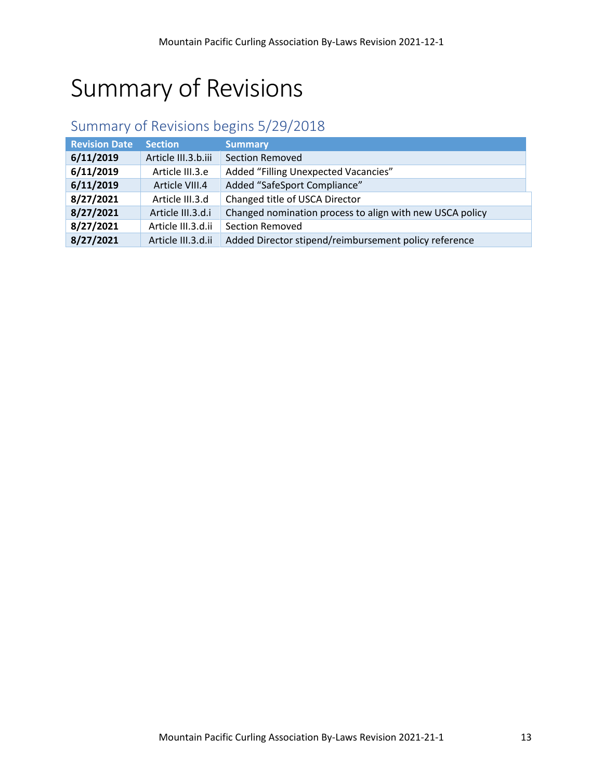# Summary of Revisions

### Summary of Revisions begins 5/29/2018

| <b>Revision Date</b> | <b>Section</b>      | <b>Summary</b>                                           |
|----------------------|---------------------|----------------------------------------------------------|
| 6/11/2019            | Article III.3.b.iii | <b>Section Removed</b>                                   |
| 6/11/2019            | Article III.3.e     | Added "Filling Unexpected Vacancies"                     |
| 6/11/2019            | Article VIII.4      | Added "SafeSport Compliance"                             |
| 8/27/2021            | Article III.3.d     | Changed title of USCA Director                           |
| 8/27/2021            | Article III.3.d.i   | Changed nomination process to align with new USCA policy |
| 8/27/2021            | Article III.3.d.ii  | <b>Section Removed</b>                                   |
| 8/27/2021            | Article III.3.d.ii  | Added Director stipend/reimbursement policy reference    |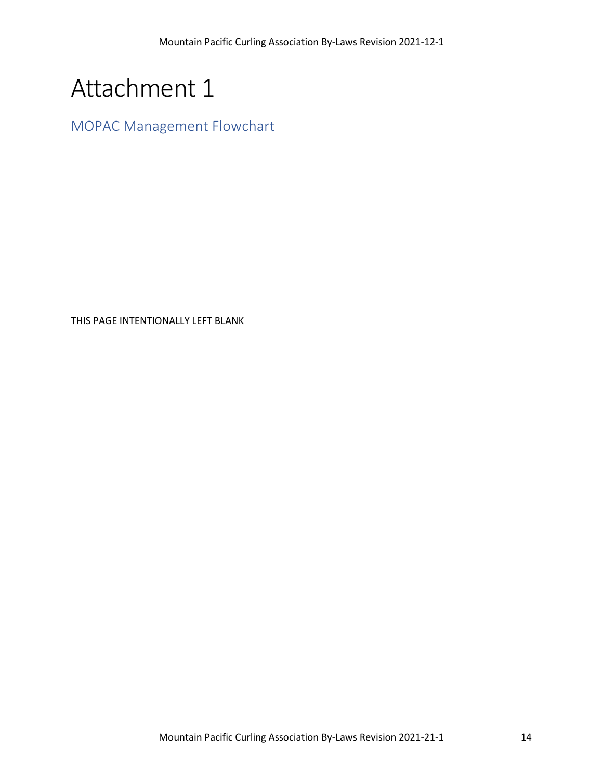# Attachment 1

MOPAC Management Flowchart

THIS PAGE INTENTIONALLY LEFT BLANK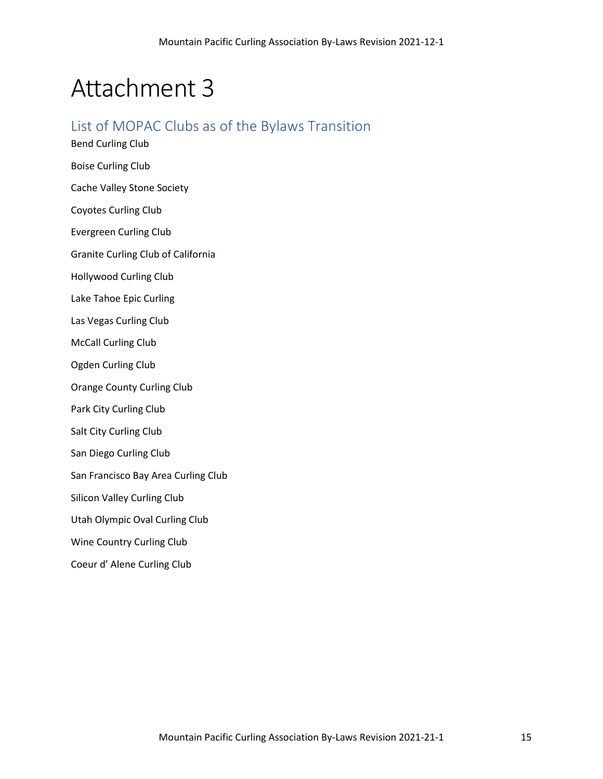## Attachment 3

### List of MOPAC Clubs as of the Bylaws Transition

Bend Curling Club Boise Curling Club Cache Valley Stone Society Coyotes Curling Club Evergreen Curling Club Granite Curling Club of California Hollywood Curling Club Lake Tahoe Epic Curling Las Vegas Curling Club McCall Curling Club Ogden Curling Club Orange County Curling Club Park City Curling Club Salt City Curling Club San Diego Curling Club San Francisco Bay Area Curling Club Silicon Valley Curling Club Utah Olympic Oval Curling Club Wine Country Curling Club Coeur d' Alene Curling Club